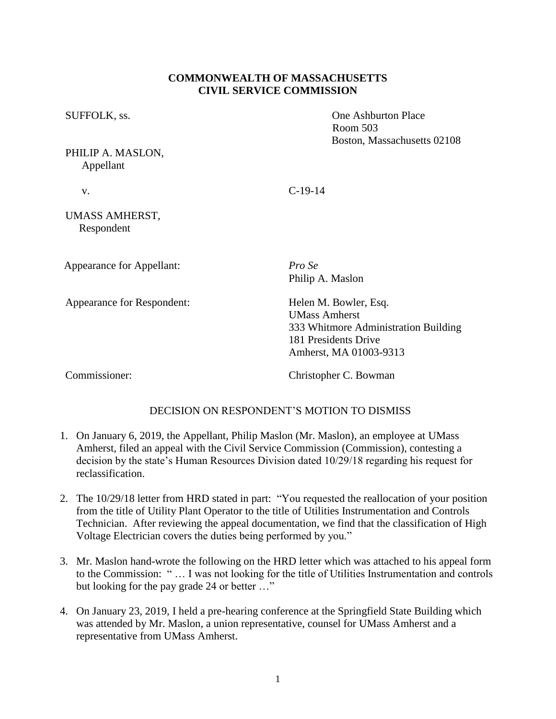## **COMMONWEALTH OF MASSACHUSETTS CIVIL SERVICE COMMISSION**

SUFFOLK, ss.  $\qquad \qquad$  One Ashburton Place

PHILIP A. MASLON, Appellant

v. C-19-14

## UMASS AMHERST, Respondent

Appearance for Appellant: *Pro Se*

Appearance for Respondent: Helen M. Bowler, Esq.

Philip A. Maslon

Room 503

Boston, Massachusetts 02108

UMass Amherst 333 Whitmore Administration Building 181 Presidents Drive Amherst, MA 01003-9313

Commissioner: Christopher C. Bowman

## DECISION ON RESPONDENT'S MOTION TO DISMISS

- 1. On January 6, 2019, the Appellant, Philip Maslon (Mr. Maslon), an employee at UMass Amherst, filed an appeal with the Civil Service Commission (Commission), contesting a decision by the state's Human Resources Division dated 10/29/18 regarding his request for reclassification.
- 2. The 10/29/18 letter from HRD stated in part: "You requested the reallocation of your position from the title of Utility Plant Operator to the title of Utilities Instrumentation and Controls Technician. After reviewing the appeal documentation, we find that the classification of High Voltage Electrician covers the duties being performed by you."
- 3. Mr. Maslon hand-wrote the following on the HRD letter which was attached to his appeal form to the Commission: " … I was not looking for the title of Utilities Instrumentation and controls but looking for the pay grade 24 or better …"
- 4. On January 23, 2019, I held a pre-hearing conference at the Springfield State Building which was attended by Mr. Maslon, a union representative, counsel for UMass Amherst and a representative from UMass Amherst.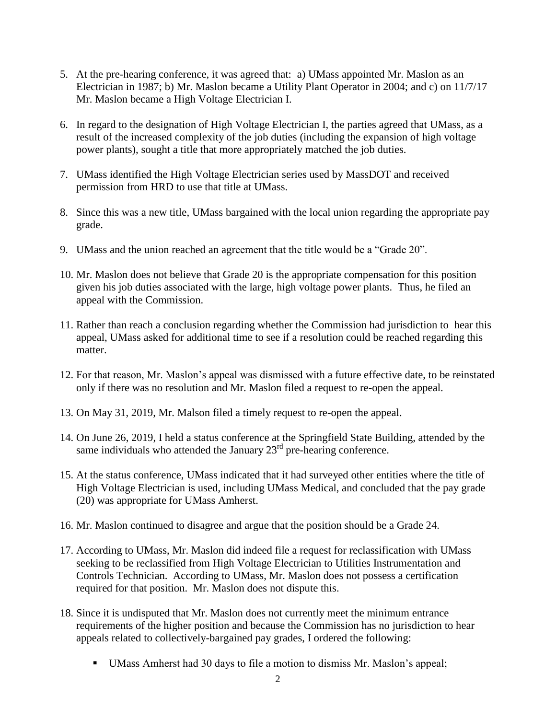- 5. At the pre-hearing conference, it was agreed that: a) UMass appointed Mr. Maslon as an Electrician in 1987; b) Mr. Maslon became a Utility Plant Operator in 2004; and c) on 11/7/17 Mr. Maslon became a High Voltage Electrician I.
- 6. In regard to the designation of High Voltage Electrician I, the parties agreed that UMass, as a result of the increased complexity of the job duties (including the expansion of high voltage power plants), sought a title that more appropriately matched the job duties.
- 7. UMass identified the High Voltage Electrician series used by MassDOT and received permission from HRD to use that title at UMass.
- 8. Since this was a new title, UMass bargained with the local union regarding the appropriate pay grade.
- 9. UMass and the union reached an agreement that the title would be a "Grade 20".
- 10. Mr. Maslon does not believe that Grade 20 is the appropriate compensation for this position given his job duties associated with the large, high voltage power plants. Thus, he filed an appeal with the Commission.
- 11. Rather than reach a conclusion regarding whether the Commission had jurisdiction to hear this appeal, UMass asked for additional time to see if a resolution could be reached regarding this matter.
- 12. For that reason, Mr. Maslon's appeal was dismissed with a future effective date, to be reinstated only if there was no resolution and Mr. Maslon filed a request to re-open the appeal.
- 13. On May 31, 2019, Mr. Malson filed a timely request to re-open the appeal.
- 14. On June 26, 2019, I held a status conference at the Springfield State Building, attended by the same individuals who attended the January  $23<sup>rd</sup>$  pre-hearing conference.
- 15. At the status conference, UMass indicated that it had surveyed other entities where the title of High Voltage Electrician is used, including UMass Medical, and concluded that the pay grade (20) was appropriate for UMass Amherst.
- 16. Mr. Maslon continued to disagree and argue that the position should be a Grade 24.
- 17. According to UMass, Mr. Maslon did indeed file a request for reclassification with UMass seeking to be reclassified from High Voltage Electrician to Utilities Instrumentation and Controls Technician. According to UMass, Mr. Maslon does not possess a certification required for that position. Mr. Maslon does not dispute this.
- 18. Since it is undisputed that Mr. Maslon does not currently meet the minimum entrance requirements of the higher position and because the Commission has no jurisdiction to hear appeals related to collectively-bargained pay grades, I ordered the following:
	- UMass Amherst had 30 days to file a motion to dismiss Mr. Maslon's appeal;